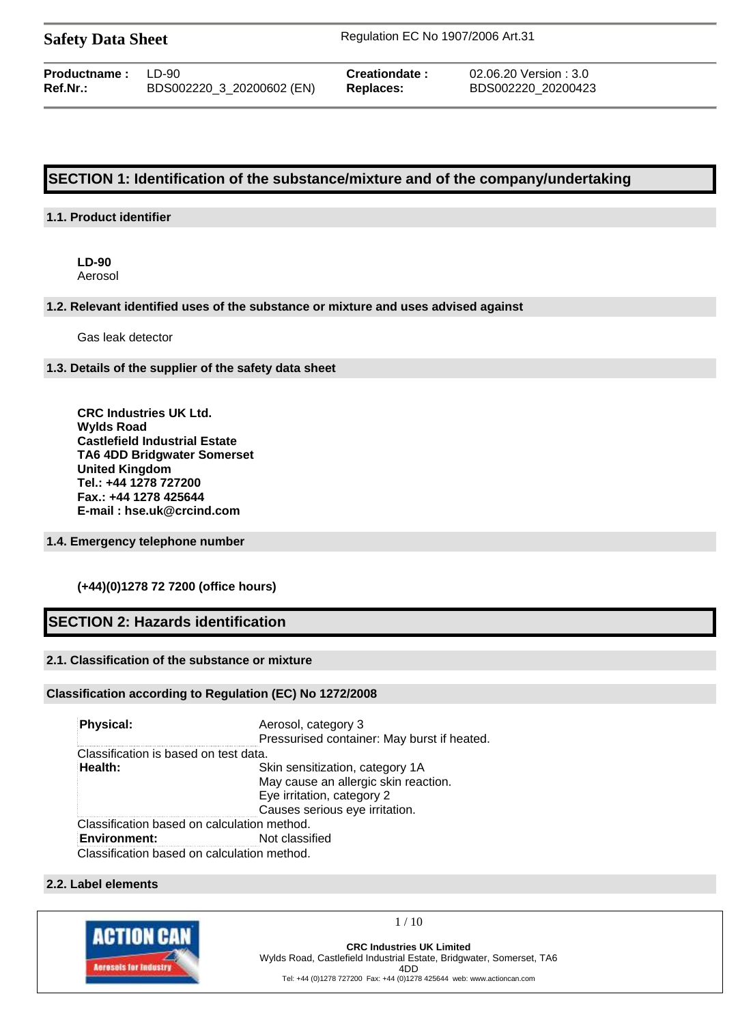| <b>Safety Data Sheet</b> |  |  |
|--------------------------|--|--|
|--------------------------|--|--|

**Safety Data Sheet** Regulation EC No 1907/2006 Art.31

| <b>Productname: LD-90</b> |                           | Cre |
|---------------------------|---------------------------|-----|
| Ref.Nr.:                  | BDS002220_3_20200602 (EN) | Rep |

**Producte :** 02.06.20 Version : 3.0 **Ref.Nr.:** BDS002220\_3\_20200602 (EN) **Replaces:** BDS002220\_20200423

# **SECTION 1: Identification of the substance/mixture and of the company/undertaking**

# **1.1. Product identifier**

**LD-90** Aerosol

## **1.2. Relevant identified uses of the substance or mixture and uses advised against**

Gas leak detector

## **1.3. Details of the supplier of the safety data sheet**

**CRC Industries UK Ltd. Wylds Road Castlefield Industrial Estate TA6 4DD Bridgwater Somerset United Kingdom Tel.: +44 1278 727200 Fax.: +44 1278 425644 E-mail : hse.uk@crcind.com**

# **1.4. Emergency telephone number**

# **(+44)(0)1278 72 7200 (office hours)**

# **SECTION 2: Hazards identification**

# **2.1. Classification of the substance or mixture**

## **Classification according to Regulation (EC) No 1272/2008**

| Physical:                                   | Aerosol, category 3<br>Pressurised container: May burst if heated. |
|---------------------------------------------|--------------------------------------------------------------------|
| Classification is based on test data.       |                                                                    |
| Health:                                     | Skin sensitization, category 1A                                    |
|                                             | May cause an allergic skin reaction.                               |
|                                             | Eye irritation, category 2                                         |
|                                             | Causes serious eye irritation.                                     |
| Classification based on calculation method. |                                                                    |
| <b>Environment:</b>                         | Not classified                                                     |
| Classification based on calculation method. |                                                                    |

#### **2.2. Label elements**

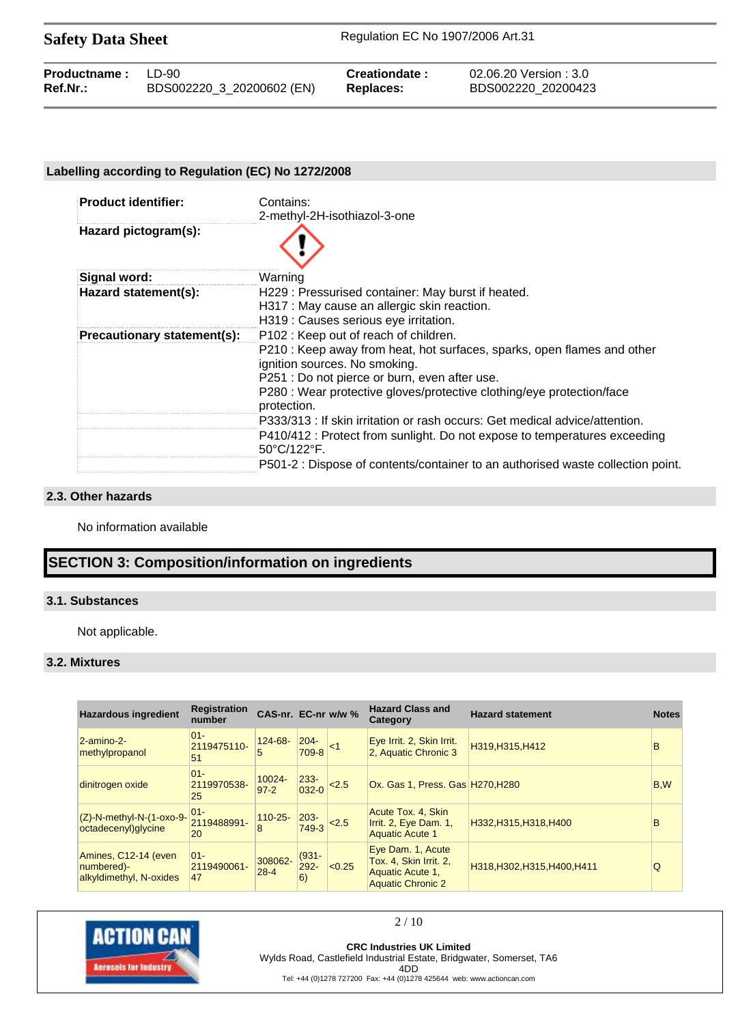Safety Data Sheet Regulation EC No 1907/2006 Art.31

| <b>Productname:</b> LD-90 |                           | Creationdate:    | 02.06.20 Version : 3.0 |
|---------------------------|---------------------------|------------------|------------------------|
| <b>Ref.Nr.:</b>           | BDS002220 3 20200602 (EN) | <b>Replaces:</b> | BDS002220 20200423     |

# **Labelling according to Regulation (EC) No 1272/2008**

| <b>Product identifier:</b>  | Contains:                                                                                                     |
|-----------------------------|---------------------------------------------------------------------------------------------------------------|
|                             | 2-methyl-2H-isothiazol-3-one                                                                                  |
| Hazard pictogram(s):        |                                                                                                               |
| Signal word:                | Warning                                                                                                       |
| Hazard statement(s):        | H229 : Pressurised container: May burst if heated.                                                            |
|                             | H317 : May cause an allergic skin reaction.                                                                   |
|                             | H319 : Causes serious eye irritation.                                                                         |
| Precautionary statement(s): | P102 : Keep out of reach of children.                                                                         |
|                             | P210 : Keep away from heat, hot surfaces, sparks, open flames and other<br>ignition sources. No smoking.      |
|                             | P251 : Do not pierce or burn, even after use.                                                                 |
|                             | P280 : Wear protective gloves/protective clothing/eye protection/face<br>protection.                          |
|                             | P333/313 : If skin irritation or rash occurs: Get medical advice/attention.                                   |
|                             | P410/412 : Protect from sunlight. Do not expose to temperatures exceeding<br>$50^{\circ}$ C/122 $^{\circ}$ F. |
|                             | P501-2 : Dispose of contents/container to an authorised waste collection point.                               |

### **2.3. Other hazards**

No information available

# **SECTION 3: Composition/information on ingredients**

# **3.1. Substances**

Not applicable.

# **3.2. Mixtures**

| <b>Hazardous ingredient</b>                                   | <b>Registration</b><br>number | CAS-nr. EC-nr w/w % |                           |          | <b>Hazard Class and</b><br>Category                                                         | <b>Hazard statement</b>      | <b>Notes</b> |
|---------------------------------------------------------------|-------------------------------|---------------------|---------------------------|----------|---------------------------------------------------------------------------------------------|------------------------------|--------------|
| $2$ -amino-2-<br>methylpropanol                               | $01 -$<br>2119475110-<br>51   | $124 - 68 -$<br>5   | $204 -$<br>709-8          | $\leq$ 1 | Eye Irrit. 2, Skin Irrit.<br>2, Aquatic Chronic 3                                           | H319, H315, H412             | <sub>B</sub> |
| dinitrogen oxide                                              | $ 01 -$<br>2119970538-<br>25  | 10024-<br>$97 - 2$  | $233 -$<br>$032 - 0$      | 2.5      | Ox. Gas 1, Press. Gas H270, H280                                                            |                              | B,W          |
| $(Z)$ -N-methyl-N- $(1$ -oxo-9-<br>octadecenyl) glycine       | $ 01 -$<br>2119488991-<br>20  | $110 - 25 -$<br>8   | $203 -$<br>749-3          | < 2.5    | Acute Tox. 4, Skin<br>Irrit. 2, Eye Dam. 1,<br><b>Aquatic Acute 1</b>                       | H332, H315, H318, H400       | B            |
| Amines, C12-14 (even<br>numbered)-<br>alkyldimethyl, N-oxides | $01 -$<br>2119490061-<br>47   | 308062-<br>$28 - 4$ | $(931 -$<br>$292 -$<br>6) | < 0.25   | Eye Dam. 1, Acute<br>Tox. 4, Skin Irrit. 2,<br>Aquatic Acute 1,<br><b>Aquatic Chronic 2</b> | H318, H302, H315, H400, H411 | Q            |



#### 2 / 10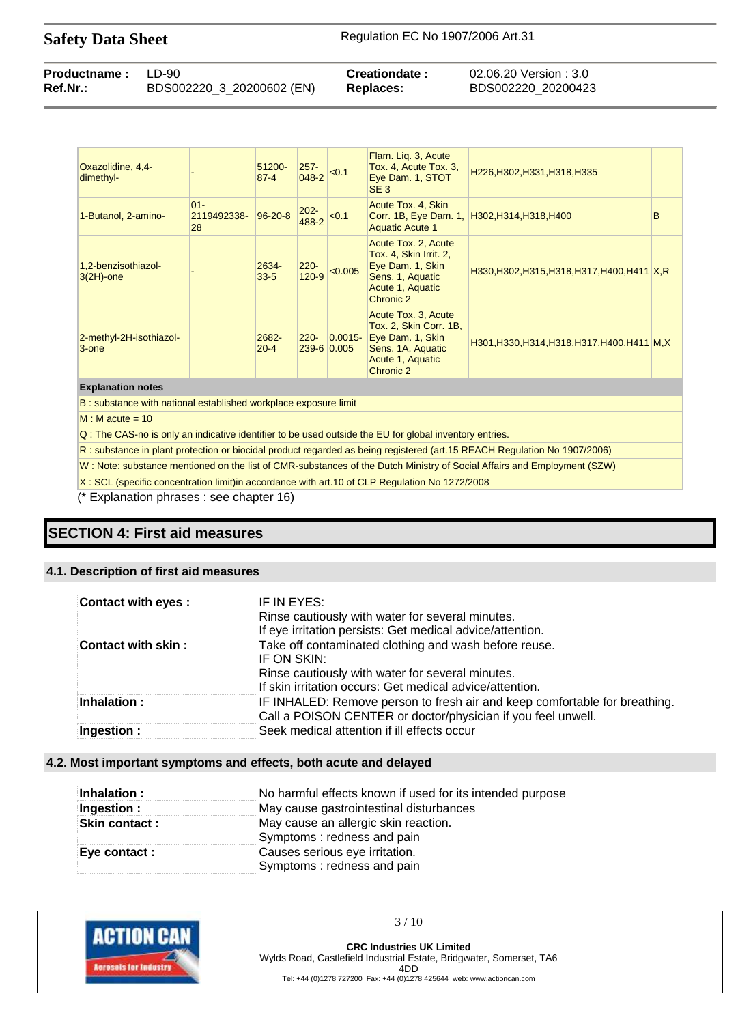| <b>Productname:</b> LD-90 |                           | Creationdate: | 02.06.20 Version : 3.0 |
|---------------------------|---------------------------|---------------|------------------------|
| Ref.Nr.:                  | BDS002220_3_20200602 (EN) | Replaces:     | BDS002220 20200423     |

| Oxazolidine, 4,4-<br>dimethyl-      |                             | 51200-<br>$87 - 4$   | $257 -$<br>048-2     | < 0.1                     | Flam. Lig. 3, Acute<br>Tox. 4, Acute Tox. 3,<br>Eye Dam. 1, STOT<br>SE <sub>3</sub>                                     | H226, H302, H331, H318, H335                  |   |
|-------------------------------------|-----------------------------|----------------------|----------------------|---------------------------|-------------------------------------------------------------------------------------------------------------------------|-----------------------------------------------|---|
| 1-Butanol, 2-amino-                 | $01 -$<br>2119492338-<br>28 | $96 - 20 - 8$        | $202 -$<br>488-2     | < 0.1                     | Acute Tox. 4, Skin<br><b>Aquatic Acute 1</b>                                                                            | Corr. 1B, Eye Dam. 1, H302, H314, H318, H400  | в |
| 1,2-benzisothiazol-<br>$3(2H)$ -one |                             | 2634-<br>$33 - 5$    | $220 -$<br>$120 - 9$ | < 0.005                   | Acute Tox. 2, Acute<br>Tox. 4, Skin Irrit. 2,<br>Eye Dam. 1, Skin<br>Sens. 1, Aquatic<br>Acute 1, Aquatic<br>Chronic 2  | H330, H302, H315, H318, H317, H400, H411 X, R |   |
| 2-methyl-2H-isothiazol-<br>3-one    |                             | $2682 -$<br>$20 - 4$ | $220 -$              | $0.0015 -$<br>239-6 0.005 | Acute Tox. 3, Acute<br>Tox. 2, Skin Corr. 1B,<br>Eye Dam. 1, Skin<br>Sens. 1A, Aquatic<br>Acute 1, Aquatic<br>Chronic 2 | H301, H330, H314, H318, H317, H400, H411 M, X |   |
| <b>Explanation notes</b>            |                             |                      |                      |                           |                                                                                                                         |                                               |   |

B : substance with national established workplace exposure limit

 $M : M$  acute = 10

Q : The CAS-no is only an indicative identifier to be used outside the EU for global inventory entries.

R : substance in plant protection or biocidal product regarded as being registered (art.15 REACH Regulation No 1907/2006)

W : Note: substance mentioned on the list of CMR-substances of the Dutch Ministry of Social Affairs and Employment (SZW)

X : SCL (specific concentration limit)in accordance with art.10 of CLP Regulation No 1272/2008

(\* Explanation phrases : see chapter 16)

# **SECTION 4: First aid measures**

#### **4.1. Description of first aid measures**

| <b>Contact with eyes:</b> | IF IN EYES:                                                                |
|---------------------------|----------------------------------------------------------------------------|
|                           | Rinse cautiously with water for several minutes.                           |
|                           | If eye irritation persists: Get medical advice/attention.                  |
| Contact with skin:        | Take off contaminated clothing and wash before reuse.                      |
|                           | IF ON SKIN:                                                                |
|                           | Rinse cautiously with water for several minutes.                           |
|                           | If skin irritation occurs: Get medical advice/attention.                   |
| Inhalation:               | IF INHALED: Remove person to fresh air and keep comfortable for breathing. |
|                           | Call a POISON CENTER or doctor/physician if you feel unwell.               |
| Ingestion :               | Seek medical attention if ill effects occur                                |

#### **4.2. Most important symptoms and effects, both acute and delayed**

| Inhalation:          | No harmful effects known if used for its intended purpose          |
|----------------------|--------------------------------------------------------------------|
| Ingestion :          | May cause gastrointestinal disturbances                            |
| <b>Skin contact:</b> | May cause an allergic skin reaction.<br>Symptoms: redness and pain |
| Eye contact:         | Causes serious eye irritation.<br>Symptoms: redness and pain       |



 $3/10$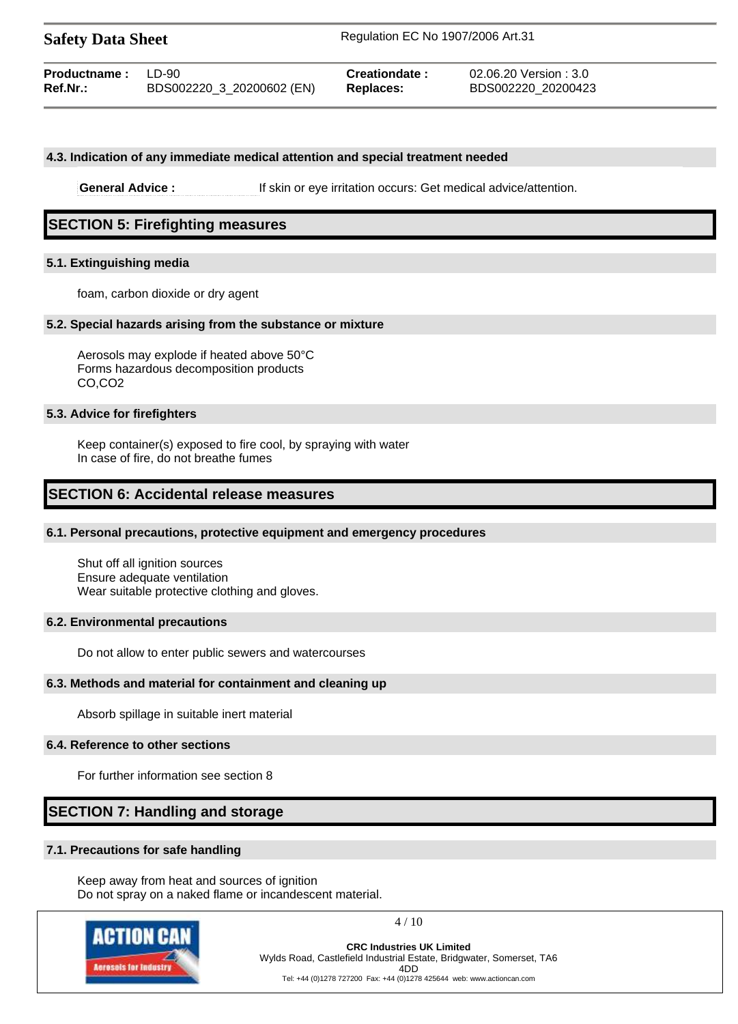**Safety Data Sheet** Regulation EC No 1907/2006 Art.31

| <b>Productname:</b> LD-90 |                           | Creationdate: | 02.06.20 Version : 3.0 |
|---------------------------|---------------------------|---------------|------------------------|
| $Ref.Nr.$ :               | BDS002220_3_20200602 (EN) | Replaces:     | BDS002220 20200423     |

#### **4.3. Indication of any immediate medical attention and special treatment needed**

**General Advice :** If skin or eye irritation occurs: Get medical advice/attention.

# **SECTION 5: Firefighting measures**

### **5.1. Extinguishing media**

foam, carbon dioxide or dry agent

#### **5.2. Special hazards arising from the substance or mixture**

Aerosols may explode if heated above 50°C Forms hazardous decomposition products CO,CO2

#### **5.3. Advice for firefighters**

Keep container(s) exposed to fire cool, by spraying with water In case of fire, do not breathe fumes

# **SECTION 6: Accidental release measures**

#### **6.1. Personal precautions, protective equipment and emergency procedures**

Shut off all ignition sources Ensure adequate ventilation Wear suitable protective clothing and gloves.

#### **6.2. Environmental precautions**

Do not allow to enter public sewers and watercourses

#### **6.3. Methods and material for containment and cleaning up**

Absorb spillage in suitable inert material

#### **6.4. Reference to other sections**

For further information see section 8

# **SECTION 7: Handling and storage**

#### **7.1. Precautions for safe handling**

Keep away from heat and sources of ignition Do not spray on a naked flame or incandescent material.



4 / 10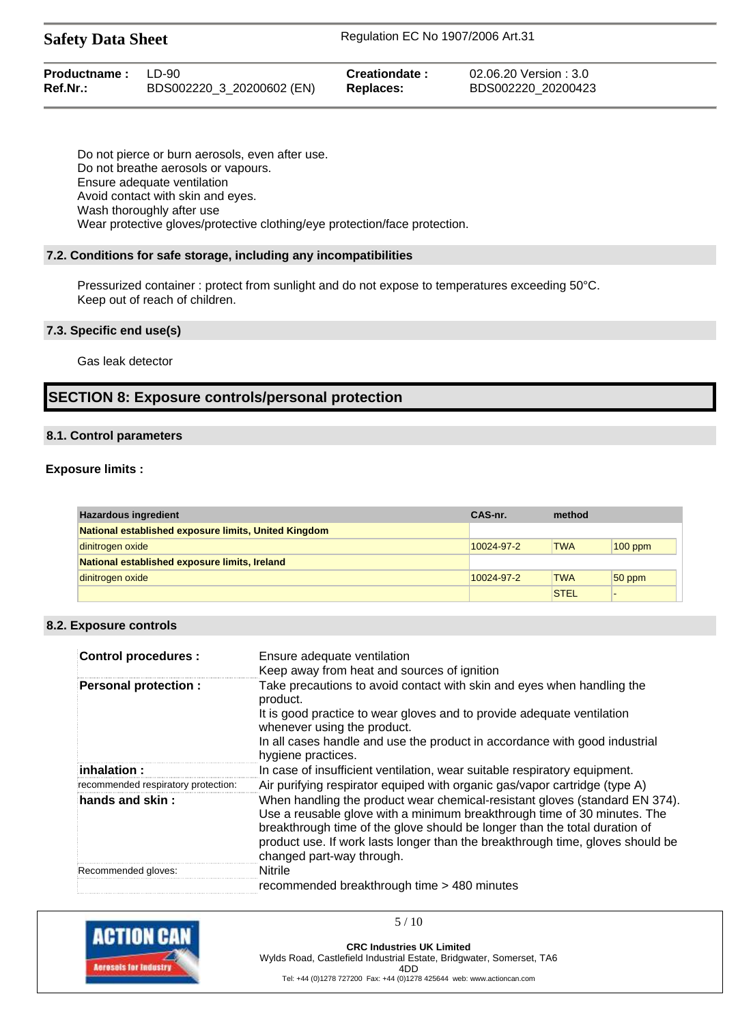| <b>Productname:</b> LD-90 | BDS002220 3 20200602 (EN) | Creationdate:    | 02.06.20 Version : 3.0 |
|---------------------------|---------------------------|------------------|------------------------|
| Ref.Nr.:                  |                           | <b>Replaces:</b> | BDS002220 20200423     |
|                           |                           |                  |                        |

Do not pierce or burn aerosols, even after use. Do not breathe aerosols or vapours. Ensure adequate ventilation Avoid contact with skin and eyes. Wash thoroughly after use Wear protective gloves/protective clothing/eye protection/face protection.

## **7.2. Conditions for safe storage, including any incompatibilities**

Pressurized container : protect from sunlight and do not expose to temperatures exceeding 50°C. Keep out of reach of children.

## **7.3. Specific end use(s)**

Gas leak detector

# **SECTION 8: Exposure controls/personal protection**

## **8.1. Control parameters**

## **Exposure limits :**

| <b>Hazardous ingredient</b>                          | CAS-nr.    | method      |           |
|------------------------------------------------------|------------|-------------|-----------|
| National established exposure limits, United Kingdom |            |             |           |
| dinitrogen oxide                                     | 10024-97-2 | <b>TWA</b>  | $100$ ppm |
| National established exposure limits, Ireland        |            |             |           |
| dinitrogen oxide                                     | 10024-97-2 | <b>TWA</b>  | $50$ ppm  |
|                                                      |            | <b>STEL</b> |           |

# **8.2. Exposure controls**

| <b>Control procedures:</b>          | Ensure adequate ventilation<br>Keep away from heat and sources of ignition                                                                                                                                                                                                                                                                           |
|-------------------------------------|------------------------------------------------------------------------------------------------------------------------------------------------------------------------------------------------------------------------------------------------------------------------------------------------------------------------------------------------------|
| <b>Personal protection:</b>         | Take precautions to avoid contact with skin and eyes when handling the<br>product.                                                                                                                                                                                                                                                                   |
|                                     | It is good practice to wear gloves and to provide adequate ventilation<br>whenever using the product.                                                                                                                                                                                                                                                |
|                                     | In all cases handle and use the product in accordance with good industrial<br>hygiene practices.                                                                                                                                                                                                                                                     |
| inhalation:                         | In case of insufficient ventilation, wear suitable respiratory equipment.                                                                                                                                                                                                                                                                            |
| recommended respiratory protection: | Air purifying respirator equiped with organic gas/vapor cartridge (type A)                                                                                                                                                                                                                                                                           |
| hands and skin:                     | When handling the product wear chemical-resistant gloves (standard EN 374).<br>Use a reusable glove with a minimum breakthrough time of 30 minutes. The<br>breakthrough time of the glove should be longer than the total duration of<br>product use. If work lasts longer than the breakthrough time, gloves should be<br>changed part-way through. |
| Recommended gloves:                 | <b>Nitrile</b>                                                                                                                                                                                                                                                                                                                                       |
|                                     | recommended breakthrough time > 480 minutes                                                                                                                                                                                                                                                                                                          |

5 / 10

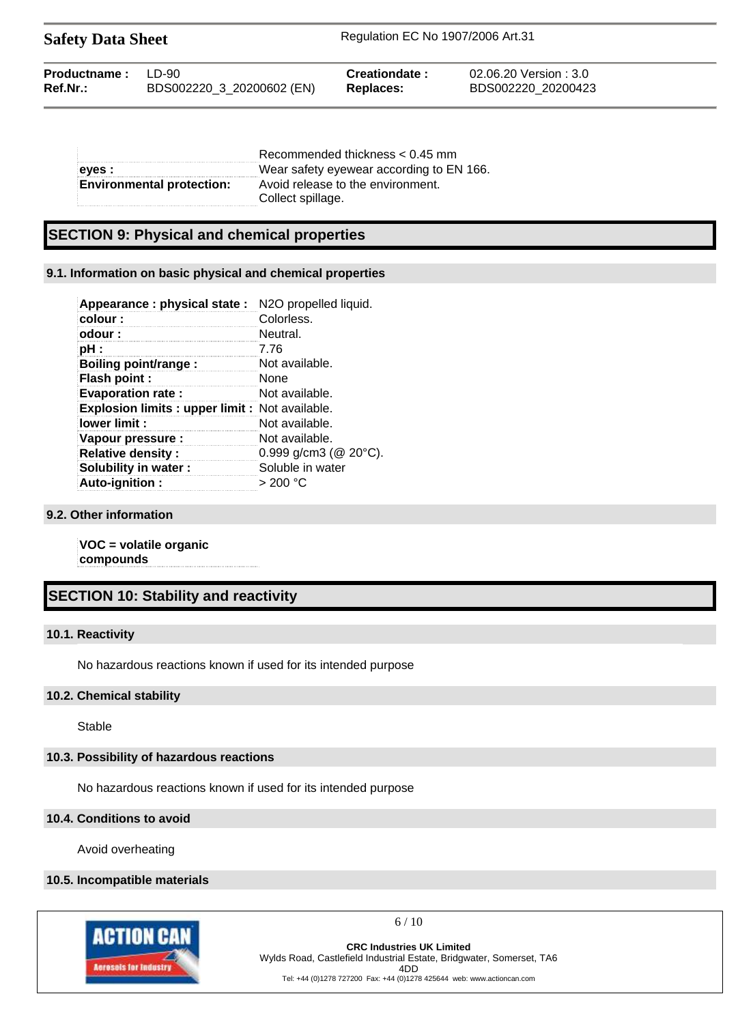| <b>Safety Data Sheet</b> |                           | Regulation EC No 1907/2006 Art.31 |                        |  |
|--------------------------|---------------------------|-----------------------------------|------------------------|--|
| Productname:             | I D-90                    | Creationdate:                     | 02.06.20 Version : 3.0 |  |
| Ref.Nr.:                 | BDS002220_3_20200602 (EN) | <b>Replaces:</b>                  | BDS002220 20200423     |  |

|                                  | Recommended thickness $< 0.45$ mm        |  |
|----------------------------------|------------------------------------------|--|
| eves :                           | Wear safety eyewear according to EN 166. |  |
| <b>Environmental protection:</b> | Avoid release to the environment.        |  |
|                                  | Collect spillage.                        |  |

# **SECTION 9: Physical and chemical properties**

# **9.1. Information on basic physical and chemical properties**

| Appearance : physical state :                   | N2O propelled liquid.        |
|-------------------------------------------------|------------------------------|
| colour:                                         | Colorless.                   |
| odour:                                          | Neutral.                     |
| pH :                                            | 7.76                         |
| <b>Boiling point/range:</b>                     | Not available.               |
| Flash point :                                   | <b>None</b>                  |
| <b>Evaporation rate:</b>                        | Not available.               |
| Explosion limits : upper limit : Not available. |                              |
| lower limit:                                    | Not available.               |
| Vapour pressure :                               | Not available.               |
| <b>Relative density:</b>                        | 0.999 g/cm3 ( $@$ 20 $°C$ ). |
| Solubility in water:                            | Soluble in water             |
| Auto-ignition:                                  | > 200 °C                     |

# **9.2. Other information**

**VOC = volatile organic compounds**

# **SECTION 10: Stability and reactivity**

# **10.1. Reactivity**

No hazardous reactions known if used for its intended purpose

#### **10.2. Chemical stability**

Stable

# **10.3. Possibility of hazardous reactions**

No hazardous reactions known if used for its intended purpose

#### **10.4. Conditions to avoid**

Avoid overheating

#### **10.5. Incompatible materials**



 $6/10$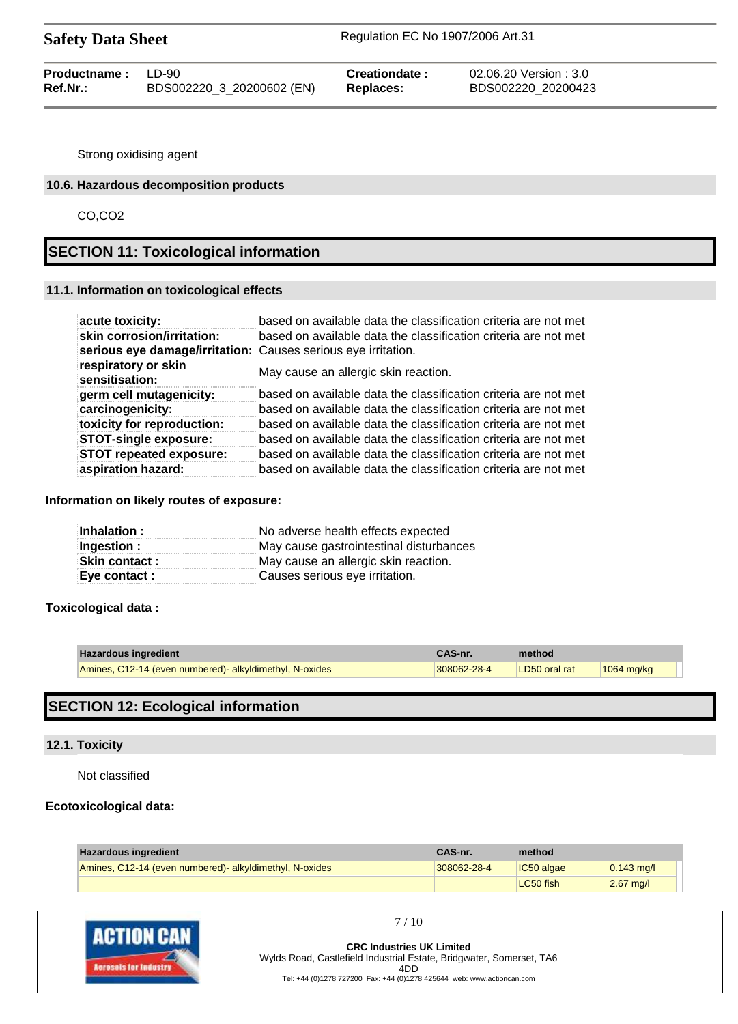| <b>Safety Data Sheet</b> |  |  |
|--------------------------|--|--|
|--------------------------|--|--|

| <b>Productname:</b> LD-90 |                           | Creationdate: | 02.06.20 Version : 3.0 |
|---------------------------|---------------------------|---------------|------------------------|
| Ref.Nr.:                  | BDS002220_3_20200602 (EN) | Replaces:     | BDS002220 20200423     |

Strong oxidising agent

## **10.6. Hazardous decomposition products**

CO,CO2

# **SECTION 11: Toxicological information**

### **11.1. Information on toxicological effects**

| acute toxicity:                                               | based on available data the classification criteria are not met |
|---------------------------------------------------------------|-----------------------------------------------------------------|
| skin corrosion/irritation:                                    | based on available data the classification criteria are not met |
| serious eye damage/irritation: Causes serious eye irritation. |                                                                 |
| respiratory or skin<br>sensitisation:                         | May cause an allergic skin reaction.                            |
| germ cell mutagenicity:                                       | based on available data the classification criteria are not met |
| carcinogenicity:                                              | based on available data the classification criteria are not met |
| toxicity for reproduction:                                    | based on available data the classification criteria are not met |
| <b>STOT-single exposure:</b>                                  | based on available data the classification criteria are not met |
| <b>STOT repeated exposure:</b>                                | based on available data the classification criteria are not met |
| aspiration hazard:                                            | based on available data the classification criteria are not met |

## **Information on likely routes of exposure:**

| Inhalation:          | No adverse health effects expected      |
|----------------------|-----------------------------------------|
| Ingestion :          | May cause gastrointestinal disturbances |
| <b>Skin contact:</b> | May cause an allergic skin reaction.    |
| Eye contact :        | Causes serious eye irritation.          |

# **Toxicological data :**

| <b>Hazardous ingredient</b>                            | CAS-nr.     | method        |              |
|--------------------------------------------------------|-------------|---------------|--------------|
| Amines, C12-14 (even numbered) alkyldimethyl, N-oxides | 308062-28-4 | LD50 oral rat | $1064$ mg/kg |

# **SECTION 12: Ecological information**

## **12.1. Toxicity**

Not classified

# **Ecotoxicological data:**

| <b>Hazardous ingredient</b>                            | CAS-nr.     | method     |              |
|--------------------------------------------------------|-------------|------------|--------------|
| Amines, C12-14 (even numbered) alkyldimethyl, N-oxides | 308062-28-4 | IC50 algae | $0.143$ mg/l |
|                                                        |             | LC50 fish  | $2.67$ mg/l  |



7 / 10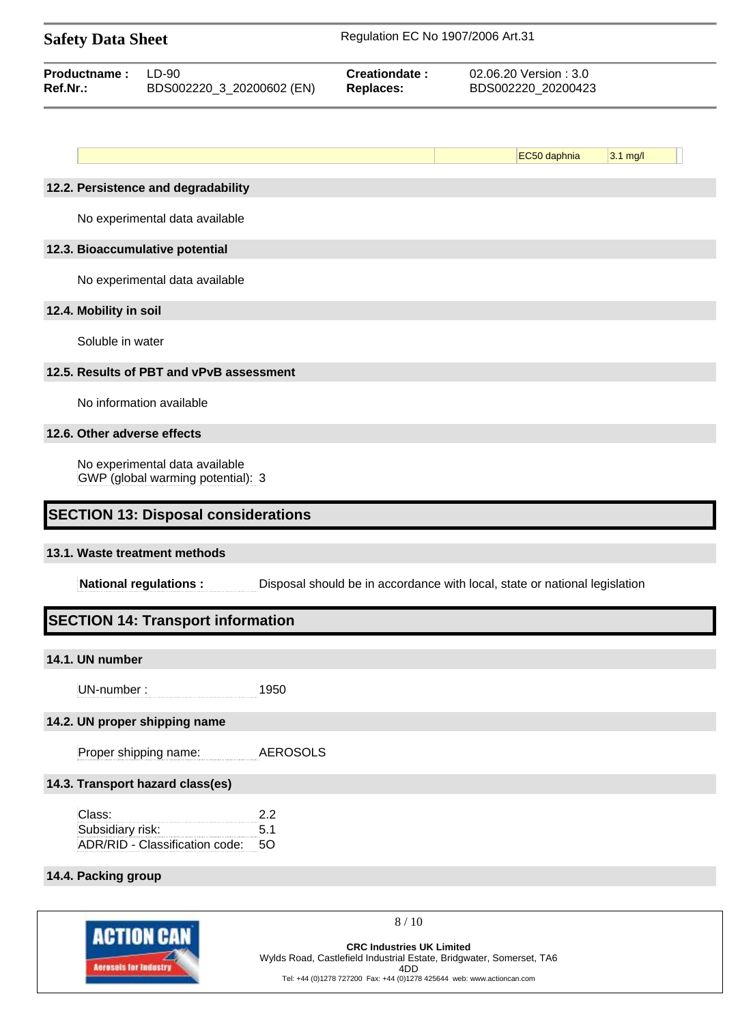|                             | Regulation EC No 1907/2006 Art.31<br><b>Safety Data Sheet</b>       |                  |                                   |                                                                            |            |  |
|-----------------------------|---------------------------------------------------------------------|------------------|-----------------------------------|----------------------------------------------------------------------------|------------|--|
| Productname:<br>Ref.Nr.:    | $LD-90$<br>BDS002220_3_20200602 (EN)                                |                  | Creationdate:<br><b>Replaces:</b> | 02.06.20 Version: 3.0<br>BDS002220_20200423                                |            |  |
|                             |                                                                     |                  |                                   |                                                                            |            |  |
|                             |                                                                     |                  |                                   | EC50 daphnia                                                               | $3.1$ mg/l |  |
|                             | 12.2. Persistence and degradability                                 |                  |                                   |                                                                            |            |  |
|                             | No experimental data available                                      |                  |                                   |                                                                            |            |  |
|                             | 12.3. Bioaccumulative potential                                     |                  |                                   |                                                                            |            |  |
|                             | No experimental data available                                      |                  |                                   |                                                                            |            |  |
| 12.4. Mobility in soil      |                                                                     |                  |                                   |                                                                            |            |  |
| Soluble in water            |                                                                     |                  |                                   |                                                                            |            |  |
|                             | 12.5. Results of PBT and vPvB assessment                            |                  |                                   |                                                                            |            |  |
|                             | No information available                                            |                  |                                   |                                                                            |            |  |
| 12.6. Other adverse effects |                                                                     |                  |                                   |                                                                            |            |  |
|                             | No experimental data available<br>GWP (global warming potential): 3 |                  |                                   |                                                                            |            |  |
|                             | <b>SECTION 13: Disposal considerations</b>                          |                  |                                   |                                                                            |            |  |
|                             | 13.1. Waste treatment methods                                       |                  |                                   |                                                                            |            |  |
|                             | <b>National regulations:</b>                                        |                  |                                   | Disposal should be in accordance with local, state or national legislation |            |  |
|                             | <b>SECTION 14: Transport information</b>                            |                  |                                   |                                                                            |            |  |
| 14.1. UN number             |                                                                     |                  |                                   |                                                                            |            |  |
| UN-number:                  |                                                                     | 1950             |                                   |                                                                            |            |  |
|                             | 14.2. UN proper shipping name                                       |                  |                                   |                                                                            |            |  |
|                             | Proper shipping name:                                               | <b>AEROSOLS</b>  |                                   |                                                                            |            |  |
|                             | 14.3. Transport hazard class(es)                                    |                  |                                   |                                                                            |            |  |
| Class:<br>Subsidiary risk:  | ADR/RID - Classification code:                                      | 2.2<br>5.1<br>50 |                                   |                                                                            |            |  |
| 14.4. Packing group         |                                                                     |                  |                                   |                                                                            |            |  |
|                             |                                                                     |                  |                                   |                                                                            |            |  |

**ACTION CAN Acrosols for Industry** 

**CRC Industries UK Limited** Wylds Road, Castlefield Industrial Estate, Bridgwater, Somerset, TA6 4DD Tel: +44 (0)1278 727200 Fax: +44 (0)1278 425644 web: www.actioncan.com

8 / 10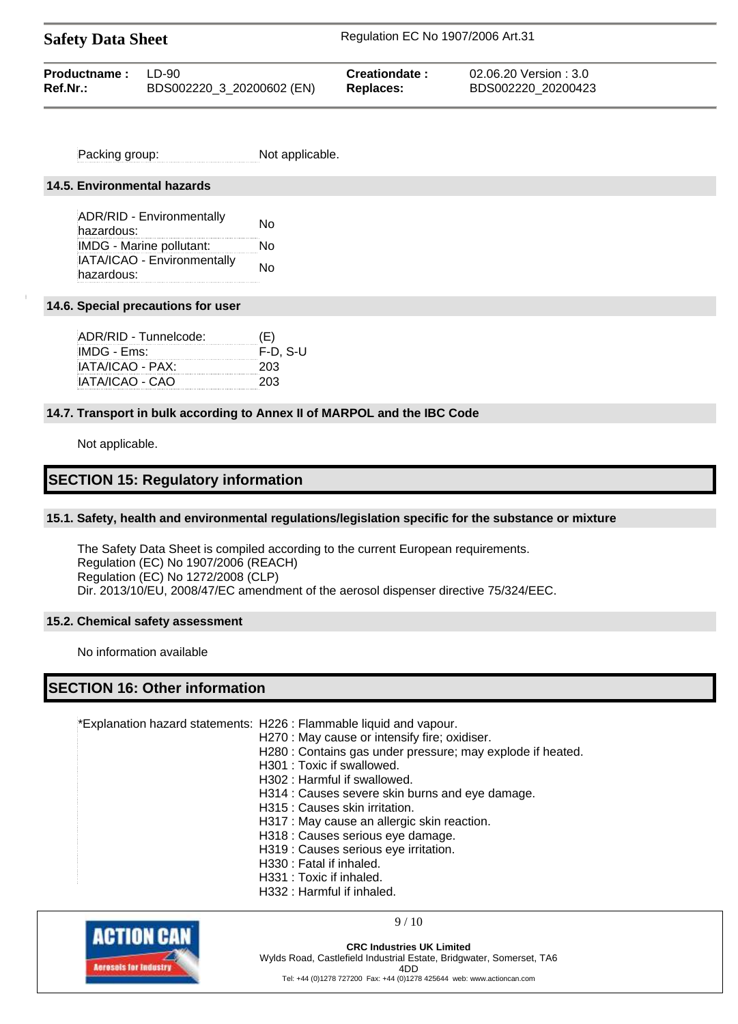| <b>Safety Data Sheet</b> |                           | Regulation EC No 1907/2006 Art.31 |                        |  |
|--------------------------|---------------------------|-----------------------------------|------------------------|--|
| Productname:             | TD-90                     | Creationdate:                     | 02.06.20 Version : 3.0 |  |
| Ref.Nr.:                 | BDS002220_3_20200602 (EN) | <b>Replaces:</b>                  | BDS002220 20200423     |  |

Packing group: Not applicable.

#### **14.5. Environmental hazards**

ADR/RID - Environmentally ADR/RID - Environmentally Mo IMDG - Marine pollutant: No IATA/ICAO - Environmentally hazardous:<br>hazardous:

#### **14.6. Special precautions for user**

| ADR/RID - Tunnelcode: | (E)        |
|-----------------------|------------|
| IMDG - Ems:           | $F-D. S-U$ |
| IATA/ICAO - PAX:      | 203        |
| IATA/ICAO - CAO       | 203        |

#### **14.7. Transport in bulk according to Annex II of MARPOL and the IBC Code**

Not applicable.

# **SECTION 15: Regulatory information**

#### **15.1. Safety, health and environmental regulations/legislation specific for the substance or mixture**

The Safety Data Sheet is compiled according to the current European requirements. Regulation (EC) No 1907/2006 (REACH) Regulation (EC) No 1272/2008 (CLP) Dir. 2013/10/EU, 2008/47/EC amendment of the aerosol dispenser directive 75/324/EEC.

#### **15.2. Chemical safety assessment**

No information available

# **SECTION 16: Other information**

\*Explanation hazard statements: H226 : Flammable liquid and vapour.

- H270 : May cause or intensify fire; oxidiser.
- H280 : Contains gas under pressure; may explode if heated.
- H301 : Toxic if swallowed.
- H302 : Harmful if swallowed.
- H314 : Causes severe skin burns and eye damage.
- H315 : Causes skin irritation.
- H317 : May cause an allergic skin reaction.
- H318 : Causes serious eye damage.
- H319 : Causes serious eye irritation.
- H330 : Fatal if inhaled.
- H331 : Toxic if inhaled.
- H332 : Harmful if inhaled.



9 / 10